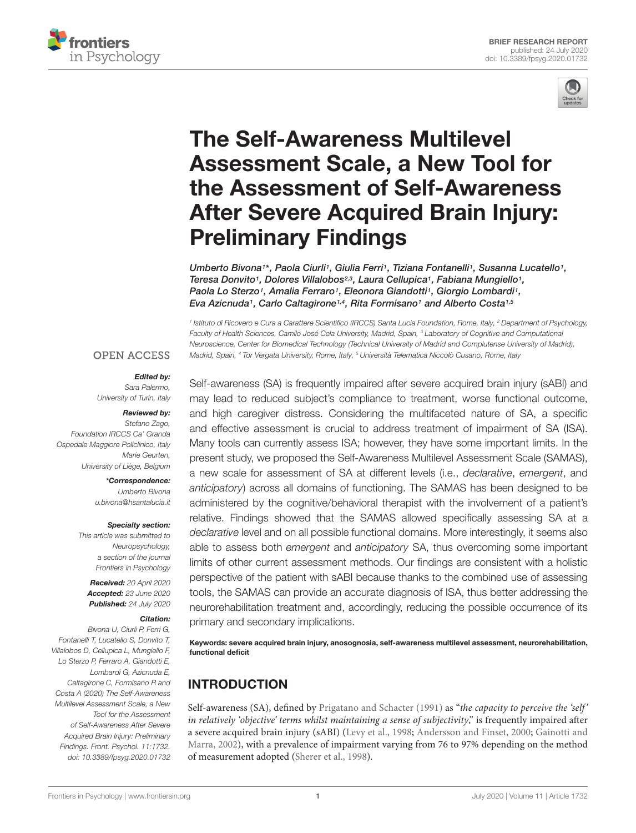



# The Self-Awareness Multilevel Assessment Scale, a New Tool for [the Assessment of Self-Awareness](https://www.frontiersin.org/articles/10.3389/fpsyg.2020.01732/full) After Severe Acquired Brain Injury: Preliminary Findings

[Umberto Bivona](http://loop.frontiersin.org/people/902548/overview)1\*, [Paola](http://loop.frontiersin.org/people/357856/overview) Ciurli1, [Giulia Ferri](http://loop.frontiersin.org/people/1030650/overview)1, [Tiziana Fontanelli](http://loop.frontiersin.org/people/1012757/overview)1, [Susanna Lucatello](http://loop.frontiersin.org/people/943377/overview)1, Teresa Donvito<sup>1</sup>, [Dolores Villalobos](http://loop.frontiersin.org/people/942982/overview)<sup>2,3</sup>, [Laura Cellupica](http://loop.frontiersin.org/people/1030655/overview)<sup>1</sup>, Fabiana Mungiello<sup>1</sup>, [Paola Lo Sterzo](http://loop.frontiersin.org/people/943844/overview)<sup>1</sup>, [Amalia Ferraro](http://loop.frontiersin.org/people/957928/overview)<sup>1</sup>, [Eleonora Giandotti](http://loop.frontiersin.org/people/958118/overview)<sup>1</sup>, [Giorgio Lombardi](http://loop.frontiersin.org/people/1030758/overview)<sup>1</sup>, [Eva Azicnuda](http://loop.frontiersin.org/people/1030404/overview)<sup>1</sup> , [Carlo Caltagirone](http://loop.frontiersin.org/people/113537/overview)1,4 , [Rita Formisano](http://loop.frontiersin.org/people/121192/overview)<sup>1</sup> and [Alberto Costa](http://loop.frontiersin.org/people/173298/overview)1,5

<sup>1</sup> Istituto di Ricovero e Cura a Carattere Scientifico (IRCCS) Santa Lucia Foundation, Rome, Italy, <sup>2</sup> Department of Psychology, Faculty of Health Sciences, Camilo José Cela University, Madrid, Spain, <sup>3</sup> Laboratory of Cognitive and Computational Neuroscience, Center for Biomedical Technology (Technical University of Madrid and Complutense University of Madrid), Madrid, Spain, <sup>4</sup> Tor Vergata University, Rome, Italy, <sup>5</sup> Università Telematica Niccolò Cusano, Rome, Italy

#### **OPEN ACCESS**

#### Edited by:

Sara Palermo, University of Turin, Italy

#### Reviewed by:

Stefano Zago, Foundation IRCCS Ca' Granda Ospedale Maggiore Policlinico, Italy Marie Geurten, University of Liège, Belgium

> \*Correspondence: Umberto Bivona u.bivona@hsantalucia.it

#### Specialty section:

This article was submitted to Neuropsychology, a section of the journal Frontiers in Psychology

Received: 20 April 2020 Accepted: 23 June 2020 Published: 24 July 2020

#### Citation:

Bivona U, Ciurli P, Ferri G, Fontanelli T, Lucatello S, Donvito T, Villalobos D, Cellupica L, Mungiello F, Lo Sterzo P, Ferraro A, Giandotti E, Lombardi G, Azicnuda E, Caltagirone C, Formisano R and Costa A (2020) The Self-Awareness Multilevel Assessment Scale, a New Tool for the Assessment of Self-Awareness After Severe Acquired Brain Injury: Preliminary Findings. Front. Psychol. 11:1732. doi: [10.3389/fpsyg.2020.01732](https://doi.org/10.3389/fpsyg.2020.01732)

Self-awareness (SA) is frequently impaired after severe acquired brain injury (sABI) and may lead to reduced subject's compliance to treatment, worse functional outcome, and high caregiver distress. Considering the multifaceted nature of SA, a specific and effective assessment is crucial to address treatment of impairment of SA (ISA). Many tools can currently assess ISA; however, they have some important limits. In the present study, we proposed the Self-Awareness Multilevel Assessment Scale (SAMAS), a new scale for assessment of SA at different levels (i.e., declarative, emergent, and anticipatory) across all domains of functioning. The SAMAS has been designed to be administered by the cognitive/behavioral therapist with the involvement of a patient's relative. Findings showed that the SAMAS allowed specifically assessing SA at a declarative level and on all possible functional domains. More interestingly, it seems also able to assess both emergent and anticipatory SA, thus overcoming some important limits of other current assessment methods. Our findings are consistent with a holistic perspective of the patient with sABI because thanks to the combined use of assessing tools, the SAMAS can provide an accurate diagnosis of ISA, thus better addressing the neurorehabilitation treatment and, accordingly, reducing the possible occurrence of its primary and secondary implications.

Keywords: severe acquired brain injury, anosognosia, self-awareness multilevel assessment, neurorehabilitation, functional deficit

# INTRODUCTION

Self-awareness (SA), defined by [Prigatano and Schacter](#page-7-0) [\(1991\)](#page-7-0) as "the capacity to perceive the 'self' in relatively 'objective' terms whilst maintaining a sense of subjectivity," is frequently impaired after a severe acquired brain injury (sABI) [\(Levy et al.,](#page-7-1) [1998;](#page-7-1) [Andersson and Finset,](#page-6-0) [2000;](#page-6-0) [Gainotti and](#page-6-1) [Marra,](#page-6-1) [2002\)](#page-6-1), with a prevalence of impairment varying from 76 to 97% depending on the method of measurement adopted [\(Sherer et al.,](#page-7-2) [1998\)](#page-7-2).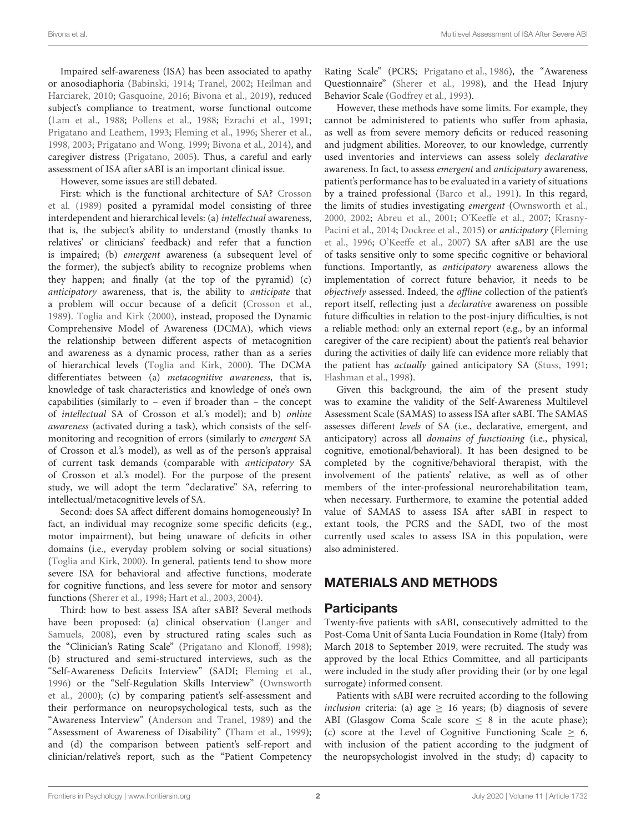Impaired self-awareness (ISA) has been associated to apathy or anosodiaphoria [\(Babinski,](#page-6-2) [1914;](#page-6-2) [Tranel,](#page-7-3) [2002;](#page-7-3) [Heilman and](#page-7-4) [Harciarek,](#page-7-4) [2010;](#page-7-4) [Gasquoine,](#page-6-3) [2016;](#page-6-3) [Bivona et al.,](#page-6-4) [2019\)](#page-6-4), reduced subject's compliance to treatment, worse functional outcome [\(Lam et al.,](#page-7-5) [1988;](#page-7-5) [Pollens et al.,](#page-7-6) [1988;](#page-7-6) [Ezrachi et al.,](#page-6-5) [1991;](#page-6-5) [Prigatano and Leathem,](#page-7-7) [1993;](#page-7-7) [Fleming et al.,](#page-6-6) [1996;](#page-6-6) [Sherer et al.,](#page-7-2) [1998,](#page-7-2) [2003;](#page-7-8) [Prigatano and Wong,](#page-7-9) [1999;](#page-7-9) [Bivona et al.,](#page-6-7) [2014\)](#page-6-7), and caregiver distress [\(Prigatano,](#page-7-10) [2005\)](#page-7-10). Thus, a careful and early assessment of ISA after sABI is an important clinical issue.

However, some issues are still debated.

First: which is the functional architecture of SA? [Crosson](#page-6-8) [et al.](#page-6-8) [\(1989\)](#page-6-8) posited a pyramidal model consisting of three interdependent and hierarchical levels: (a) intellectual awareness, that is, the subject's ability to understand (mostly thanks to relatives' or clinicians' feedback) and refer that a function is impaired; (b) emergent awareness (a subsequent level of the former), the subject's ability to recognize problems when they happen; and finally (at the top of the pyramid) (c) anticipatory awareness, that is, the ability to anticipate that a problem will occur because of a deficit [\(Crosson et al.,](#page-6-8) [1989\)](#page-6-8). [Toglia and Kirk](#page-7-11) [\(2000\)](#page-7-11), instead, proposed the Dynamic Comprehensive Model of Awareness (DCMA), which views the relationship between different aspects of metacognition and awareness as a dynamic process, rather than as a series of hierarchical levels [\(Toglia and Kirk,](#page-7-11) [2000\)](#page-7-11). The DCMA differentiates between (a) metacognitive awareness, that is, knowledge of task characteristics and knowledge of one's own capabilities (similarly to – even if broader than – the concept of intellectual SA of Crosson et al.'s model); and b) online awareness (activated during a task), which consists of the selfmonitoring and recognition of errors (similarly to emergent SA of Crosson et al.'s model), as well as of the person's appraisal of current task demands (comparable with anticipatory SA of Crosson et al.'s model). For the purpose of the present study, we will adopt the term "declarative" SA, referring to intellectual/metacognitive levels of SA.

Second: does SA affect different domains homogeneously? In fact, an individual may recognize some specific deficits (e.g., motor impairment), but being unaware of deficits in other domains (i.e., everyday problem solving or social situations) [\(Toglia and Kirk,](#page-7-11) [2000\)](#page-7-11). In general, patients tend to show more severe ISA for behavioral and affective functions, moderate for cognitive functions, and less severe for motor and sensory functions [\(Sherer et al.,](#page-7-2) [1998;](#page-7-2) [Hart et al.,](#page-7-12) [2003,](#page-7-12) [2004\)](#page-7-13).

Third: how to best assess ISA after sABI? Several methods have been proposed: (a) clinical observation [\(Langer and](#page-7-14) [Samuels,](#page-7-14) [2008\)](#page-7-14), even by structured rating scales such as the "Clinician's Rating Scale" [\(Prigatano and Klonoff,](#page-7-15) [1998\)](#page-7-15); (b) structured and semi-structured interviews, such as the "Self-Awareness Deficits Interview" (SADI; [Fleming et al.,](#page-6-6) [1996\)](#page-6-6) or the "Self-Regulation Skills Interview" [\(Ownsworth](#page-7-16) [et al.,](#page-7-16) [2000\)](#page-7-16); (c) by comparing patient's self-assessment and their performance on neuropsychological tests, such as the "Awareness Interview" [\(Anderson and Tranel,](#page-6-9) [1989\)](#page-6-9) and the "Assessment of Awareness of Disability" [\(Tham et al.,](#page-7-17) [1999\)](#page-7-17); and (d) the comparison between patient's self-report and clinician/relative's report, such as the "Patient Competency Rating Scale" (PCRS; [Prigatano et al.,](#page-7-18) [1986\)](#page-7-18), the "Awareness Questionnaire" [\(Sherer et al.,](#page-7-2) [1998\)](#page-7-2), and the Head Injury Behavior Scale [\(Godfrey et al.,](#page-6-10) [1993\)](#page-6-10).

However, these methods have some limits. For example, they cannot be administered to patients who suffer from aphasia, as well as from severe memory deficits or reduced reasoning and judgment abilities. Moreover, to our knowledge, currently used inventories and interviews can assess solely declarative awareness. In fact, to assess emergent and anticipatory awareness, patient's performance has to be evaluated in a variety of situations by a trained professional [\(Barco et al.,](#page-6-11) [1991\)](#page-6-11). In this regard, the limits of studies investigating emergent [\(Ownsworth et al.,](#page-7-16) [2000,](#page-7-16) [2002;](#page-7-19) [Abreu et al.,](#page-6-12) [2001;](#page-6-12) [O'Keeffe et al.,](#page-7-20) [2007;](#page-7-20) [Krasny-](#page-7-21)[Pacini et al.,](#page-7-21) [2014;](#page-7-21) [Dockree et al.,](#page-6-13) [2015\)](#page-6-13) or anticipatory [\(Fleming](#page-6-6) [et al.,](#page-6-6) [1996;](#page-6-6) [O'Keeffe et al.,](#page-7-20) [2007\)](#page-7-20) SA after sABI are the use of tasks sensitive only to some specific cognitive or behavioral functions. Importantly, as anticipatory awareness allows the implementation of correct future behavior, it needs to be objectively assessed. Indeed, the offline collection of the patient's report itself, reflecting just a declarative awareness on possible future difficulties in relation to the post-injury difficulties, is not a reliable method: only an external report (e.g., by an informal caregiver of the care recipient) about the patient's real behavior during the activities of daily life can evidence more reliably that the patient has actually gained anticipatory SA [\(Stuss,](#page-7-22) [1991;](#page-7-22) [Flashman et al.,](#page-6-14) [1998\)](#page-6-14).

Given this background, the aim of the present study was to examine the validity of the Self-Awareness Multilevel Assessment Scale (SAMAS) to assess ISA after sABI. The SAMAS assesses different levels of SA (i.e., declarative, emergent, and anticipatory) across all domains of functioning (i.e., physical, cognitive, emotional/behavioral). It has been designed to be completed by the cognitive/behavioral therapist, with the involvement of the patients' relative, as well as of other members of the inter-professional neurorehabilitation team, when necessary. Furthermore, to examine the potential added value of SAMAS to assess ISA after sABI in respect to extant tools, the PCRS and the SADI, two of the most currently used scales to assess ISA in this population, were also administered.

# MATERIALS AND METHODS

#### **Participants**

Twenty-five patients with sABI, consecutively admitted to the Post-Coma Unit of Santa Lucia Foundation in Rome (Italy) from March 2018 to September 2019, were recruited. The study was approved by the local Ethics Committee, and all participants were included in the study after providing their (or by one legal surrogate) informed consent.

Patients with sABI were recruited according to the following inclusion criteria: (a) age  $\geq$  16 years; (b) diagnosis of severe ABI (Glasgow Coma Scale score  $\leq$  8 in the acute phase); (c) score at the Level of Cognitive Functioning Scale  $\geq$  6, with inclusion of the patient according to the judgment of the neuropsychologist involved in the study; d) capacity to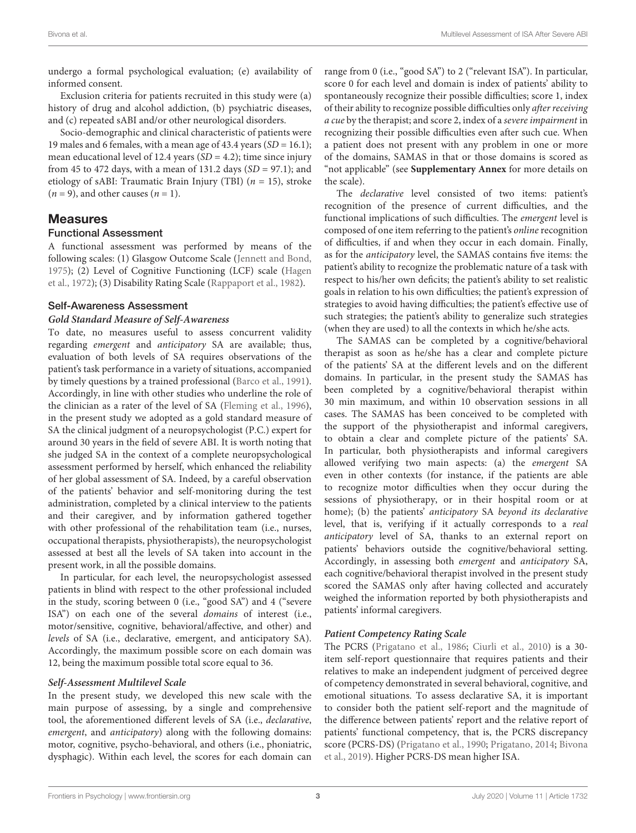undergo a formal psychological evaluation; (e) availability of informed consent.

Exclusion criteria for patients recruited in this study were (a) history of drug and alcohol addiction, (b) psychiatric diseases, and (c) repeated sABI and/or other neurological disorders.

Socio-demographic and clinical characteristic of patients were 19 males and 6 females, with a mean age of 43.4 years ( $SD = 16.1$ ); mean educational level of 12.4 years ( $SD = 4.2$ ); time since injury from 45 to 472 days, with a mean of 131.2 days  $(SD = 97.1)$ ; and etiology of sABI: Traumatic Brain Injury (TBI) ( $n = 15$ ), stroke  $(n = 9)$ , and other causes  $(n = 1)$ .

#### Measures

#### Functional Assessment

A functional assessment was performed by means of the following scales: (1) Glasgow Outcome Scale [\(Jennett and Bond,](#page-7-23) [1975\)](#page-7-23); (2) Level of Cognitive Functioning (LCF) scale [\(Hagen](#page-7-24) [et al.,](#page-7-24) [1972\)](#page-7-24); (3) Disability Rating Scale [\(Rappaport et al.,](#page-7-25) [1982\)](#page-7-25).

#### Self-Awareness Assessment

#### **Gold Standard Measure of Self-Awareness**

To date, no measures useful to assess concurrent validity regarding emergent and anticipatory SA are available; thus, evaluation of both levels of SA requires observations of the patient's task performance in a variety of situations, accompanied by timely questions by a trained professional [\(Barco et al.,](#page-6-11) [1991\)](#page-6-11). Accordingly, in line with other studies who underline the role of the clinician as a rater of the level of SA [\(Fleming et al.,](#page-6-6) [1996\)](#page-6-6), in the present study we adopted as a gold standard measure of SA the clinical judgment of a neuropsychologist (P.C.) expert for around 30 years in the field of severe ABI. It is worth noting that she judged SA in the context of a complete neuropsychological assessment performed by herself, which enhanced the reliability of her global assessment of SA. Indeed, by a careful observation of the patients' behavior and self-monitoring during the test administration, completed by a clinical interview to the patients and their caregiver, and by information gathered together with other professional of the rehabilitation team (i.e., nurses, occupational therapists, physiotherapists), the neuropsychologist assessed at best all the levels of SA taken into account in the present work, in all the possible domains.

In particular, for each level, the neuropsychologist assessed patients in blind with respect to the other professional included in the study, scoring between 0 (i.e., "good SA") and 4 ("severe ISA") on each one of the several domains of interest (i.e., motor/sensitive, cognitive, behavioral/affective, and other) and levels of SA (i.e., declarative, emergent, and anticipatory SA). Accordingly, the maximum possible score on each domain was 12, being the maximum possible total score equal to 36.

#### **Self-Assessment Multilevel Scale**

In the present study, we developed this new scale with the main purpose of assessing, by a single and comprehensive tool, the aforementioned different levels of SA (i.e., declarative, emergent, and anticipatory) along with the following domains: motor, cognitive, psycho-behavioral, and others (i.e., phoniatric, dysphagic). Within each level, the scores for each domain can

range from 0 (i.e., "good SA") to 2 ("relevant ISA"). In particular, score 0 for each level and domain is index of patients' ability to spontaneously recognize their possible difficulties; score 1, index of their ability to recognize possible difficulties only after receiving a cue by the therapist; and score 2, index of a severe impairment in recognizing their possible difficulties even after such cue. When a patient does not present with any problem in one or more of the domains, SAMAS in that or those domains is scored as "not applicable" (see **[Supplementary Annex](#page-6-15)** for more details on the scale).

The declarative level consisted of two items: patient's recognition of the presence of current difficulties, and the functional implications of such difficulties. The emergent level is composed of one item referring to the patient's online recognition of difficulties, if and when they occur in each domain. Finally, as for the anticipatory level, the SAMAS contains five items: the patient's ability to recognize the problematic nature of a task with respect to his/her own deficits; the patient's ability to set realistic goals in relation to his own difficulties; the patient's expression of strategies to avoid having difficulties; the patient's effective use of such strategies; the patient's ability to generalize such strategies (when they are used) to all the contexts in which he/she acts.

The SAMAS can be completed by a cognitive/behavioral therapist as soon as he/she has a clear and complete picture of the patients' SA at the different levels and on the different domains. In particular, in the present study the SAMAS has been completed by a cognitive/behavioral therapist within 30 min maximum, and within 10 observation sessions in all cases. The SAMAS has been conceived to be completed with the support of the physiotherapist and informal caregivers, to obtain a clear and complete picture of the patients' SA. In particular, both physiotherapists and informal caregivers allowed verifying two main aspects: (a) the emergent SA even in other contexts (for instance, if the patients are able to recognize motor difficulties when they occur during the sessions of physiotherapy, or in their hospital room or at home); (b) the patients' anticipatory SA beyond its declarative level, that is, verifying if it actually corresponds to a real anticipatory level of SA, thanks to an external report on patients' behaviors outside the cognitive/behavioral setting. Accordingly, in assessing both emergent and anticipatory SA, each cognitive/behavioral therapist involved in the present study scored the SAMAS only after having collected and accurately weighed the information reported by both physiotherapists and patients' informal caregivers.

#### **Patient Competency Rating Scale**

The PCRS [\(Prigatano et al.,](#page-7-18) [1986;](#page-7-18) [Ciurli et al.,](#page-6-16) [2010\)](#page-6-16) is a 30 item self-report questionnaire that requires patients and their relatives to make an independent judgment of perceived degree of competency demonstrated in several behavioral, cognitive, and emotional situations. To assess declarative SA, it is important to consider both the patient self-report and the magnitude of the difference between patients' report and the relative report of patients' functional competency, that is, the PCRS discrepancy score (PCRS-DS) [\(Prigatano et al.,](#page-7-26) [1990;](#page-7-26) [Prigatano,](#page-7-27) [2014;](#page-7-27) [Bivona](#page-6-4) [et al.,](#page-6-4) [2019\)](#page-6-4). Higher PCRS-DS mean higher ISA.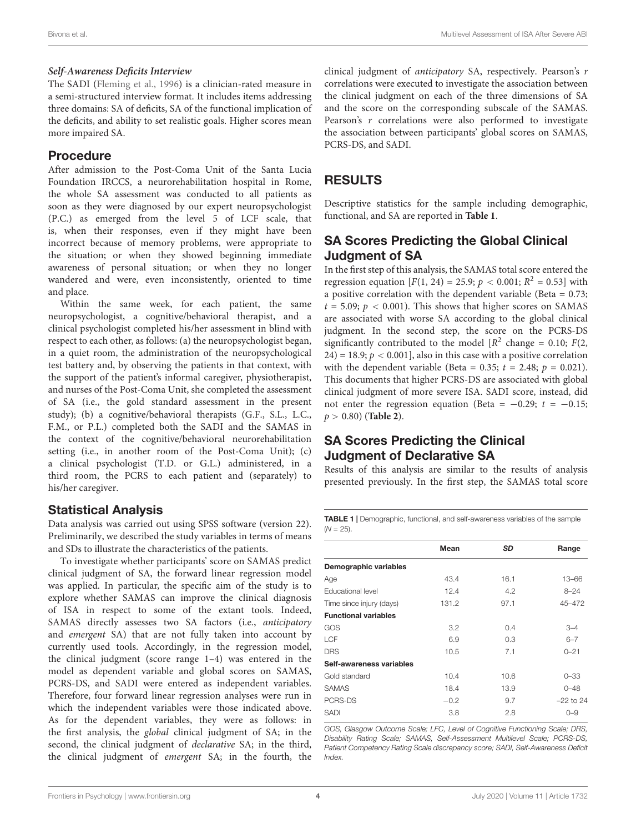#### **Self-Awareness Deficits Interview**

The SADI [\(Fleming et al.,](#page-6-6) [1996\)](#page-6-6) is a clinician-rated measure in a semi-structured interview format. It includes items addressing three domains: SA of deficits, SA of the functional implication of the deficits, and ability to set realistic goals. Higher scores mean more impaired SA.

#### Procedure

After admission to the Post-Coma Unit of the Santa Lucia Foundation IRCCS, a neurorehabilitation hospital in Rome, the whole SA assessment was conducted to all patients as soon as they were diagnosed by our expert neuropsychologist (P.C.) as emerged from the level 5 of LCF scale, that is, when their responses, even if they might have been incorrect because of memory problems, were appropriate to the situation; or when they showed beginning immediate awareness of personal situation; or when they no longer wandered and were, even inconsistently, oriented to time and place.

Within the same week, for each patient, the same neuropsychologist, a cognitive/behavioral therapist, and a clinical psychologist completed his/her assessment in blind with respect to each other, as follows: (a) the neuropsychologist began, in a quiet room, the administration of the neuropsychological test battery and, by observing the patients in that context, with the support of the patient's informal caregiver, physiotherapist, and nurses of the Post-Coma Unit, she completed the assessment of SA (i.e., the gold standard assessment in the present study); (b) a cognitive/behavioral therapists (G.F., S.L., L.C., F.M., or P.L.) completed both the SADI and the SAMAS in the context of the cognitive/behavioral neurorehabilitation setting (i.e., in another room of the Post-Coma Unit); (c) a clinical psychologist (T.D. or G.L.) administered, in a third room, the PCRS to each patient and (separately) to his/her caregiver.

#### Statistical Analysis

Data analysis was carried out using SPSS software (version 22). Preliminarily, we described the study variables in terms of means and SDs to illustrate the characteristics of the patients.

To investigate whether participants' score on SAMAS predict clinical judgment of SA, the forward linear regression model was applied. In particular, the specific aim of the study is to explore whether SAMAS can improve the clinical diagnosis of ISA in respect to some of the extant tools. Indeed, SAMAS directly assesses two SA factors (i.e., anticipatory and emergent SA) that are not fully taken into account by currently used tools. Accordingly, in the regression model, the clinical judgment (score range 1–4) was entered in the model as dependent variable and global scores on SAMAS, PCRS-DS, and SADI were entered as independent variables. Therefore, four forward linear regression analyses were run in which the independent variables were those indicated above. As for the dependent variables, they were as follows: in the first analysis, the global clinical judgment of SA; in the second, the clinical judgment of declarative SA; in the third, the clinical judgment of emergent SA; in the fourth, the

clinical judgment of anticipatory SA, respectively. Pearson's r correlations were executed to investigate the association between the clinical judgment on each of the three dimensions of SA and the score on the corresponding subscale of the SAMAS. Pearson's r correlations were also performed to investigate the association between participants' global scores on SAMAS, PCRS-DS, and SADI.

# RESULTS

Descriptive statistics for the sample including demographic, functional, and SA are reported in **[Table 1](#page-3-0)**.

#### SA Scores Predicting the Global Clinical Judgment of SA

In the first step of this analysis, the SAMAS total score entered the regression equation  $[F(1, 24) = 25.9; p < 0.001; R^2 = 0.53]$  with a positive correlation with the dependent variable (Beta  $= 0.73$ ;  $t = 5.09$ ;  $p < 0.001$ ). This shows that higher scores on SAMAS are associated with worse SA according to the global clinical judgment. In the second step, the score on the PCRS-DS significantly contributed to the model  $[R^2 \space change = 0.10; F(2,$  $24$ ) = 18.9;  $p < 0.001$ , also in this case with a positive correlation with the dependent variable (Beta = 0.35;  $t = 2.48$ ;  $p = 0.021$ ). This documents that higher PCRS-DS are associated with global clinical judgment of more severe ISA. SADI score, instead, did not enter the regression equation (Beta =  $-0.29$ ;  $t = -0.15$ ; p > 0.80) (**[Table 2](#page-4-0)**).

# SA Scores Predicting the Clinical Judgment of Declarative SA

Results of this analysis are similar to the results of analysis presented previously. In the first step, the SAMAS total score

<span id="page-3-0"></span>TABLE 1 | Demographic, functional, and self-awareness variables of the sample  $(N = 25)$ .

|                             | Mean   | <b>SD</b> | Range       |
|-----------------------------|--------|-----------|-------------|
| Demographic variables       |        |           |             |
| Age                         | 43.4   | 16.1      | $13 - 66$   |
| <b>Educational level</b>    | 12.4   | 4.2       | $8 - 24$    |
| Time since injury (days)    | 131.2  | 97.1      | 45-472      |
| <b>Functional variables</b> |        |           |             |
| GOS                         | 3.2    | 0.4       | $3 - 4$     |
| LCF                         | 6.9    | 0.3       | $6 - 7$     |
| <b>DRS</b>                  | 10.5   | 7.1       | $0 - 21$    |
| Self-awareness variables    |        |           |             |
| Gold standard               | 10.4   | 10.6      | $0 - 33$    |
| <b>SAMAS</b>                | 18.4   | 13.9      | $0 - 48$    |
| PCRS-DS                     | $-0.2$ | 9.7       | $-22$ to 24 |
| <b>SADI</b>                 | 3.8    | 2.8       | $O - 9$     |
|                             |        |           |             |

GOS, Glasgow Outcome Scale; LFC, Level of Cognitive Functioning Scale; DRS, Disability Rating Scale; SAMAS, Self-Assessment Multilevel Scale; PCRS-DS, Patient Competency Rating Scale discrepancy score; SADI, Self-Awareness Deficit Index.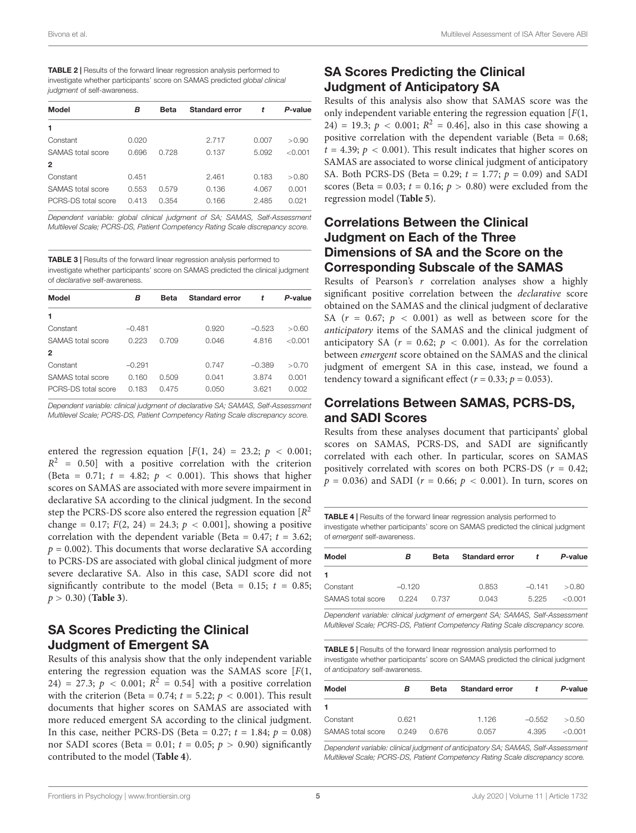<span id="page-4-0"></span>

| <b>TABLE 2</b>   Results of the forward linear regression analysis performed to |
|---------------------------------------------------------------------------------|
| investigate whether participants' score on SAMAS predicted global clinical      |
| judgment of self-awareness.                                                     |

| Model               | в     | <b>Beta</b> | <b>Standard error</b> | t     | P-value |
|---------------------|-------|-------------|-----------------------|-------|---------|
|                     |       |             |                       |       |         |
| Constant            | 0.020 |             | 2.717                 | 0.007 | > 0.90  |
| SAMAS total score   | 0.696 | 0.728       | 0.137                 | 5.092 | < 0.001 |
| 2                   |       |             |                       |       |         |
| Constant            | 0.451 |             | 2.461                 | 0.183 | > 0.80  |
| SAMAS total score   | 0.553 | 0.579       | 0.136                 | 4.067 | 0.001   |
| PCRS-DS total score | 0.413 | 0.354       | 0.166                 | 2.485 | O 021   |
|                     |       |             |                       |       |         |

Dependent variable: global clinical judgment of SA; SAMAS, Self-Assessment Multilevel Scale; PCRS-DS, Patient Competency Rating Scale discrepancy score.

<span id="page-4-1"></span>TABLE 3 | Results of the forward linear regression analysis performed to investigate whether participants' score on SAMAS predicted the clinical judgment of declarative self-awareness.

| в        | Beta  | Standard error | t        | P-value |
|----------|-------|----------------|----------|---------|
|          |       |                |          |         |
| $-0.481$ |       | 0.920          | $-0.523$ | > 0.60  |
| 0.223    | 0.709 | 0.046          | 4.816    | < 0.001 |
|          |       |                |          |         |
| $-0.291$ |       | 0.747          | $-0.389$ | > 0.70  |
| 0.160    | 0.509 | 0.041          | 3.874    | 0.001   |
| 0.183    | 0.475 | 0.050          | 3.621    | 0.002   |
|          |       |                |          |         |

Dependent variable: clinical judgment of declarative SA; SAMAS, Self-Assessment Multilevel Scale; PCRS-DS, Patient Competency Rating Scale discrepancy score.

entered the regression equation  $[F(1, 24) = 23.2; p < 0.001;$  $R^2$  = 0.50] with a positive correlation with the criterion (Beta = 0.71;  $t = 4.82$ ;  $p < 0.001$ ). This shows that higher scores on SAMAS are associated with more severe impairment in declarative SA according to the clinical judgment. In the second step the PCRS-DS score also entered the regression equation  $[R^2]$ change = 0.17;  $F(2, 24) = 24.3$ ;  $p < 0.001$ ], showing a positive correlation with the dependent variable (Beta =  $0.47$ ;  $t = 3.62$ ;  $p = 0.002$ ). This documents that worse declarative SA according to PCRS-DS are associated with global clinical judgment of more severe declarative SA. Also in this case, SADI score did not significantly contribute to the model (Beta =  $0.15$ ;  $t = 0.85$ ; p > 0.30) (**[Table 3](#page-4-1)**).

# SA Scores Predicting the Clinical Judgment of Emergent SA

Results of this analysis show that the only independent variable entering the regression equation was the SAMAS score  $[F(1,$ 24) = 27.3;  $p < 0.001$ ;  $R^2 = 0.54$ ] with a positive correlation with the criterion (Beta = 0.74;  $t = 5.22$ ;  $p < 0.001$ ). This result documents that higher scores on SAMAS are associated with more reduced emergent SA according to the clinical judgment. In this case, neither PCRS-DS (Beta = 0.27;  $t = 1.84$ ;  $p = 0.08$ ) nor SADI scores (Beta = 0.01;  $t = 0.05$ ;  $p > 0.90$ ) significantly contributed to the model (**[Table 4](#page-4-2)**).

# SA Scores Predicting the Clinical Judgment of Anticipatory SA

Results of this analysis also show that SAMAS score was the only independent variable entering the regression equation  $[F(1,$ 24) = 19.3;  $p < 0.001$ ;  $R^2 = 0.46$ , also in this case showing a positive correlation with the dependent variable (Beta = 0.68;  $t = 4.39$ ;  $p < 0.001$ ). This result indicates that higher scores on SAMAS are associated to worse clinical judgment of anticipatory SA. Both PCRS-DS (Beta = 0.29;  $t = 1.77$ ;  $p = 0.09$ ) and SADI scores (Beta = 0.03;  $t = 0.16$ ;  $p > 0.80$ ) were excluded from the regression model (**[Table 5](#page-4-3)**).

# Correlations Between the Clinical Judgment on Each of the Three Dimensions of SA and the Score on the Corresponding Subscale of the SAMAS

Results of Pearson's  $r$  correlation analyses show a highly significant positive correlation between the declarative score obtained on the SAMAS and the clinical judgment of declarative SA ( $r = 0.67$ ;  $p < 0.001$ ) as well as between score for the anticipatory items of the SAMAS and the clinical judgment of anticipatory SA ( $r = 0.62$ ;  $p < 0.001$ ). As for the correlation between emergent score obtained on the SAMAS and the clinical judgment of emergent SA in this case, instead, we found a tendency toward a significant effect ( $r = 0.33$ ;  $p = 0.053$ ).

## Correlations Between SAMAS, PCRS-DS, and SADI Scores

Results from these analyses document that participants' global scores on SAMAS, PCRS-DS, and SADI are significantly correlated with each other. In particular, scores on SAMAS positively correlated with scores on both PCRS-DS ( $r = 0.42$ ;  $p = 0.036$ ) and SADI ( $r = 0.66$ ;  $p < 0.001$ ). In turn, scores on

<span id="page-4-2"></span>TABLE 4 | Results of the forward linear regression analysis performed to investigate whether participants' score on SAMAS predicted the clinical judgment of emergent self-awareness.

| Model             | в        | Beta  | <b>Standard error</b> | t        | P-value   |
|-------------------|----------|-------|-----------------------|----------|-----------|
|                   |          |       |                       |          |           |
| Constant          | $-0.120$ |       | 0.853                 | $-0.141$ | > 0.80    |
| SAMAS total score | 0.224    | 0.737 | 0.043                 | 5 225    | $<$ 0.001 |

Dependent variable: clinical judgment of emergent SA; SAMAS, Self-Assessment Multilevel Scale; PCRS-DS, Patient Competency Rating Scale discrepancy score.

<span id="page-4-3"></span>TABLE 5 | Results of the forward linear regression analysis performed to investigate whether participants' score on SAMAS predicted the clinical judgment of anticipatory self-awareness.

| Model                    | в     | <b>Beta</b> | <b>Standard error</b> | ÷        | P-value   |
|--------------------------|-------|-------------|-----------------------|----------|-----------|
| 1                        |       |             |                       |          |           |
| Constant                 | 0.621 |             | 1.126                 | $-0.552$ | > 0.50    |
| <b>SAMAS</b> total score | O 249 | 0.676       | 0.057                 | 4.395    | $<$ 0.001 |

Dependent variable: clinical judgment of anticipatory SA; SAMAS, Self-Assessment Multilevel Scale; PCRS-DS, Patient Competency Rating Scale discrepancy score.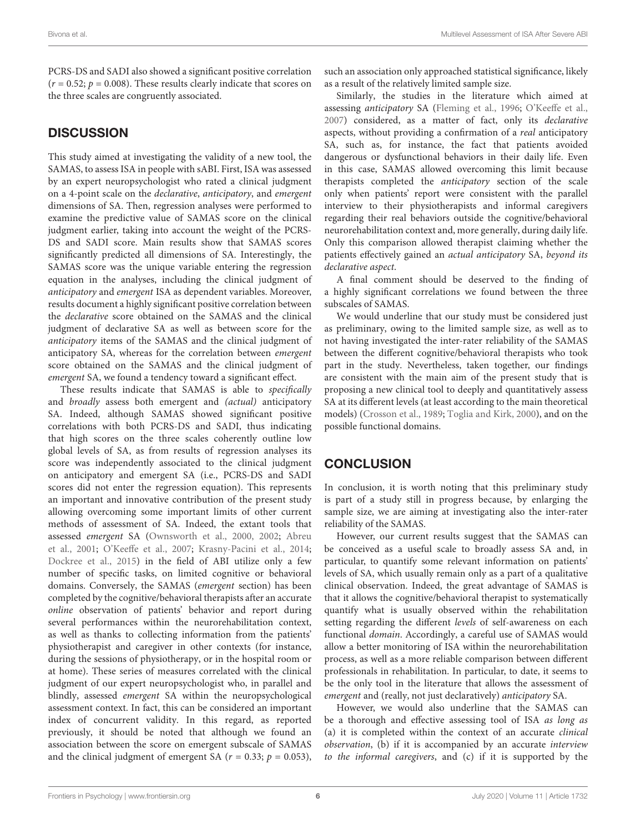PCRS-DS and SADI also showed a significant positive correlation  $(r = 0.52; p = 0.008)$ . These results clearly indicate that scores on the three scales are congruently associated.

#### **DISCUSSION**

This study aimed at investigating the validity of a new tool, the SAMAS, to assess ISA in people with sABI. First, ISA was assessed by an expert neuropsychologist who rated a clinical judgment on a 4-point scale on the declarative, anticipatory, and emergent dimensions of SA. Then, regression analyses were performed to examine the predictive value of SAMAS score on the clinical judgment earlier, taking into account the weight of the PCRS-DS and SADI score. Main results show that SAMAS scores significantly predicted all dimensions of SA. Interestingly, the SAMAS score was the unique variable entering the regression equation in the analyses, including the clinical judgment of anticipatory and emergent ISA as dependent variables. Moreover, results document a highly significant positive correlation between the declarative score obtained on the SAMAS and the clinical judgment of declarative SA as well as between score for the anticipatory items of the SAMAS and the clinical judgment of anticipatory SA, whereas for the correlation between emergent score obtained on the SAMAS and the clinical judgment of emergent SA, we found a tendency toward a significant effect.

These results indicate that SAMAS is able to specifically and broadly assess both emergent and (actual) anticipatory SA. Indeed, although SAMAS showed significant positive correlations with both PCRS-DS and SADI, thus indicating that high scores on the three scales coherently outline low global levels of SA, as from results of regression analyses its score was independently associated to the clinical judgment on anticipatory and emergent SA (i.e., PCRS-DS and SADI scores did not enter the regression equation). This represents an important and innovative contribution of the present study allowing overcoming some important limits of other current methods of assessment of SA. Indeed, the extant tools that assessed emergent SA [\(Ownsworth et al.,](#page-7-16) [2000,](#page-7-16) [2002;](#page-7-19) [Abreu](#page-6-12) [et al.,](#page-6-12) [2001;](#page-6-12) [O'Keeffe et al.,](#page-7-20) [2007;](#page-7-20) [Krasny-Pacini et al.,](#page-7-21) [2014;](#page-7-21) [Dockree et al.,](#page-6-13) [2015\)](#page-6-13) in the field of ABI utilize only a few number of specific tasks, on limited cognitive or behavioral domains. Conversely, the SAMAS (emergent section) has been completed by the cognitive/behavioral therapists after an accurate online observation of patients' behavior and report during several performances within the neurorehabilitation context, as well as thanks to collecting information from the patients' physiotherapist and caregiver in other contexts (for instance, during the sessions of physiotherapy, or in the hospital room or at home). These series of measures correlated with the clinical judgment of our expert neuropsychologist who, in parallel and blindly, assessed emergent SA within the neuropsychological assessment context. In fact, this can be considered an important index of concurrent validity. In this regard, as reported previously, it should be noted that although we found an association between the score on emergent subscale of SAMAS and the clinical judgment of emergent SA ( $r = 0.33$ ;  $p = 0.053$ ), such an association only approached statistical significance, likely as a result of the relatively limited sample size.

Similarly, the studies in the literature which aimed at assessing anticipatory SA [\(Fleming et al.,](#page-6-6) [1996;](#page-6-6) [O'Keeffe et al.,](#page-7-20) [2007\)](#page-7-20) considered, as a matter of fact, only its declarative aspects, without providing a confirmation of a real anticipatory SA, such as, for instance, the fact that patients avoided dangerous or dysfunctional behaviors in their daily life. Even in this case, SAMAS allowed overcoming this limit because therapists completed the anticipatory section of the scale only when patients' report were consistent with the parallel interview to their physiotherapists and informal caregivers regarding their real behaviors outside the cognitive/behavioral neurorehabilitation context and, more generally, during daily life. Only this comparison allowed therapist claiming whether the patients effectively gained an actual anticipatory SA, beyond its declarative aspect.

A final comment should be deserved to the finding of a highly significant correlations we found between the three subscales of SAMAS.

We would underline that our study must be considered just as preliminary, owing to the limited sample size, as well as to not having investigated the inter-rater reliability of the SAMAS between the different cognitive/behavioral therapists who took part in the study. Nevertheless, taken together, our findings are consistent with the main aim of the present study that is proposing a new clinical tool to deeply and quantitatively assess SA at its different levels (at least according to the main theoretical models) [\(Crosson et al.,](#page-6-8) [1989;](#page-6-8) [Toglia and Kirk,](#page-7-11) [2000\)](#page-7-11), and on the possible functional domains.

# **CONCLUSION**

In conclusion, it is worth noting that this preliminary study is part of a study still in progress because, by enlarging the sample size, we are aiming at investigating also the inter-rater reliability of the SAMAS.

However, our current results suggest that the SAMAS can be conceived as a useful scale to broadly assess SA and, in particular, to quantify some relevant information on patients' levels of SA, which usually remain only as a part of a qualitative clinical observation. Indeed, the great advantage of SAMAS is that it allows the cognitive/behavioral therapist to systematically quantify what is usually observed within the rehabilitation setting regarding the different levels of self-awareness on each functional domain. Accordingly, a careful use of SAMAS would allow a better monitoring of ISA within the neurorehabilitation process, as well as a more reliable comparison between different professionals in rehabilitation. In particular, to date, it seems to be the only tool in the literature that allows the assessment of emergent and (really, not just declaratively) anticipatory SA.

However, we would also underline that the SAMAS can be a thorough and effective assessing tool of ISA as long as (a) it is completed within the context of an accurate clinical observation, (b) if it is accompanied by an accurate interview to the informal caregivers, and (c) if it is supported by the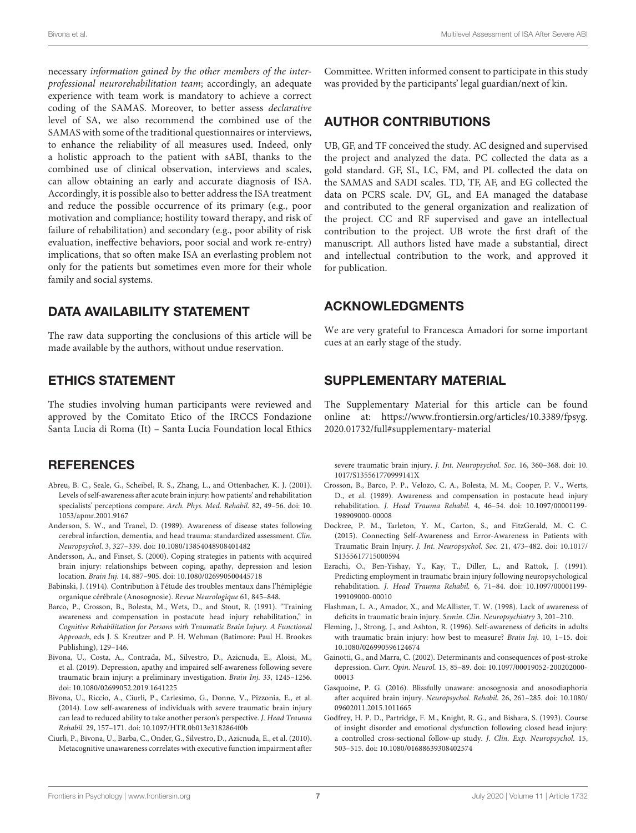necessary information gained by the other members of the interprofessional neurorehabilitation team; accordingly, an adequate experience with team work is mandatory to achieve a correct coding of the SAMAS. Moreover, to better assess declarative level of SA, we also recommend the combined use of the SAMAS with some of the traditional questionnaires or interviews, to enhance the reliability of all measures used. Indeed, only a holistic approach to the patient with sABI, thanks to the combined use of clinical observation, interviews and scales, can allow obtaining an early and accurate diagnosis of ISA. Accordingly, it is possible also to better address the ISA treatment and reduce the possible occurrence of its primary (e.g., poor motivation and compliance; hostility toward therapy, and risk of failure of rehabilitation) and secondary (e.g., poor ability of risk evaluation, ineffective behaviors, poor social and work re-entry) implications, that so often make ISA an everlasting problem not only for the patients but sometimes even more for their whole family and social systems.

# DATA AVAILABILITY STATEMENT

The raw data supporting the conclusions of this article will be made available by the authors, without undue reservation.

# ETHICS STATEMENT

The studies involving human participants were reviewed and approved by the Comitato Etico of the IRCCS Fondazione Santa Lucia di Roma (It) – Santa Lucia Foundation local Ethics

# **REFERENCES**

- <span id="page-6-12"></span>Abreu, B. C., Seale, G., Scheibel, R. S., Zhang, L., and Ottenbacher, K. J. (2001). Levels of self-awareness after acute brain injury: how patients' and rehabilitation specialists' perceptions compare. Arch. Phys. Med. Rehabil. 82, 49–56. [doi: 10.](https://doi.org/10.1053/apmr.2001.9167) [1053/apmr.2001.9167](https://doi.org/10.1053/apmr.2001.9167)
- <span id="page-6-9"></span>Anderson, S. W., and Tranel, D. (1989). Awareness of disease states following cerebral infarction, dementia, and head trauma: standardized assessment. Clin. Neuropsychol. 3, 327–339. [doi: 10.1080/13854048908401482](https://doi.org/10.1080/13854048908401482)
- <span id="page-6-0"></span>Andersson, A., and Finset, S. (2000). Coping strategies in patients with acquired brain injury: relationships between coping, apathy, depression and lesion location. Brain Inj. 14, 887–905. [doi: 10.1080/026990500445718](https://doi.org/10.1080/026990500445718)
- <span id="page-6-2"></span>Babinski, J. (1914). Contribution à l'étude des troubles mentaux dans l'hémiplégie organique cérébrale (Anosognosie). Revue Neurologique 61, 845–848.
- <span id="page-6-11"></span>Barco, P., Crosson, B., Bolesta, M., Wets, D., and Stout, R. (1991). "Training awareness and compensation in postacute head injury rehabilitation," in Cognitive Rehabilitation for Persons with Traumatic Brain Injury. A Functional Approach, eds J. S. Kreutzer and P. H. Wehman (Batimore: Paul H. Brookes Publishing), 129–146.
- <span id="page-6-4"></span>Bivona, U., Costa, A., Contrada, M., Silvestro, D., Azicnuda, E., Aloisi, M., et al. (2019). Depression, apathy and impaired self-awareness following severe traumatic brain injury: a preliminary investigation. Brain Inj. 33, 1245–1256. [doi: 10.1080/02699052.2019.1641225](https://doi.org/10.1080/02699052.2019.1641225)
- <span id="page-6-7"></span>Bivona, U., Riccio, A., Ciurli, P., Carlesimo, G., Donne, V., Pizzonia, E., et al. (2014). Low self-awareness of individuals with severe traumatic brain injury can lead to reduced ability to take another person's perspective. J. Head Trauma Rehabil. 29, 157–171. [doi: 10.1097/HTR.0b013e3182864f0b](https://doi.org/10.1097/HTR.0b013e3182864f0b)
- <span id="page-6-16"></span>Ciurli, P., Bivona, U., Barba, C., Onder, G., Silvestro, D., Azicnuda, E., et al. (2010). Metacognitive unawareness correlates with executive function impairment after

Committee. Written informed consent to participate in this study was provided by the participants' legal guardian/next of kin.

# AUTHOR CONTRIBUTIONS

UB, GF, and TF conceived the study. AC designed and supervised the project and analyzed the data. PC collected the data as a gold standard. GF, SL, LC, FM, and PL collected the data on the SAMAS and SADI scales. TD, TF, AF, and EG collected the data on PCRS scale. DV, GL, and EA managed the database and contributed to the general organization and realization of the project. CC and RF supervised and gave an intellectual contribution to the project. UB wrote the first draft of the manuscript. All authors listed have made a substantial, direct and intellectual contribution to the work, and approved it for publication.

# ACKNOWLEDGMENTS

We are very grateful to Francesca Amadori for some important cues at an early stage of the study.

# <span id="page-6-15"></span>SUPPLEMENTARY MATERIAL

The Supplementary Material for this article can be found online at: [https://www.frontiersin.org/articles/10.3389/fpsyg.](https://www.frontiersin.org/articles/10.3389/fpsyg.2020.01732/full#supplementary-material) [2020.01732/full#supplementary-material](https://www.frontiersin.org/articles/10.3389/fpsyg.2020.01732/full#supplementary-material)

severe traumatic brain injury. J. Int. Neuropsychol. Soc. 16, 360–368. [doi: 10.](https://doi.org/10.1017/S135561770999141X) [1017/S135561770999141X](https://doi.org/10.1017/S135561770999141X)

- <span id="page-6-8"></span>Crosson, B., Barco, P. P., Velozo, C. A., Bolesta, M. M., Cooper, P. V., Werts, D., et al. (1989). Awareness and compensation in postacute head injury rehabilitation. J. Head Trauma Rehabil. 4, 46–54. [doi: 10.1097/00001199-](https://doi.org/10.1097/00001199-198909000-00008) [198909000-00008](https://doi.org/10.1097/00001199-198909000-00008)
- <span id="page-6-13"></span>Dockree, P. M., Tarleton, Y. M., Carton, S., and FitzGerald, M. C. C. (2015). Connecting Self-Awareness and Error-Awareness in Patients with Traumatic Brain Injury. J. Int. Neuropsychol. Soc. 21, 473–482. [doi: 10.1017/](https://doi.org/10.1017/S1355617715000594) [S1355617715000594](https://doi.org/10.1017/S1355617715000594)
- <span id="page-6-5"></span>Ezrachi, O., Ben-Yishay, Y., Kay, T., Diller, L., and Rattok, J. (1991). Predicting employment in traumatic brain injury following neuropsychological rehabilitation. J. Head Trauma Rehabil. 6, 71–84. [doi: 10.1097/00001199-](https://doi.org/10.1097/00001199-199109000-00010) [199109000-00010](https://doi.org/10.1097/00001199-199109000-00010)
- <span id="page-6-14"></span>Flashman, L. A., Amador, X., and McAllister, T. W. (1998). Lack of awareness of deficits in traumatic brain injury. Semin. Clin. Neuropsychiatry 3, 201–210.
- <span id="page-6-6"></span>Fleming, J., Strong, J., and Ashton, R. (1996). Self-awareness of deficits in adults with traumatic brain injury: how best to measure? Brain Inj. 10, 1–15. [doi:](https://doi.org/10.1080/026990596124674) [10.1080/026990596124674](https://doi.org/10.1080/026990596124674)
- <span id="page-6-1"></span>Gainotti, G., and Marra, C. (2002). Determinants and consequences of post-stroke depression. Curr. Opin. Neurol. 15, 85–89. [doi: 10.1097/00019052-200202000-](https://doi.org/10.1097/00019052-200202000-00013) [00013](https://doi.org/10.1097/00019052-200202000-00013)
- <span id="page-6-3"></span>Gasquoine, P. G. (2016). Blissfully unaware: anosognosia and anosodiaphoria after acquired brain injury. Neuropsychol. Rehabil. 26, 261–285. [doi: 10.1080/](https://doi.org/10.1080/09602011.2015.1011665) [09602011.2015.1011665](https://doi.org/10.1080/09602011.2015.1011665)
- <span id="page-6-10"></span>Godfrey, H. P. D., Partridge, F. M., Knight, R. G., and Bishara, S. (1993). Course of insight disorder and emotional dysfunction following closed head injury: a controlled cross-sectional follow-up study. J. Clin. Exp. Neuropsychol. 15, 503–515. [doi: 10.1080/01688639308402574](https://doi.org/10.1080/01688639308402574)